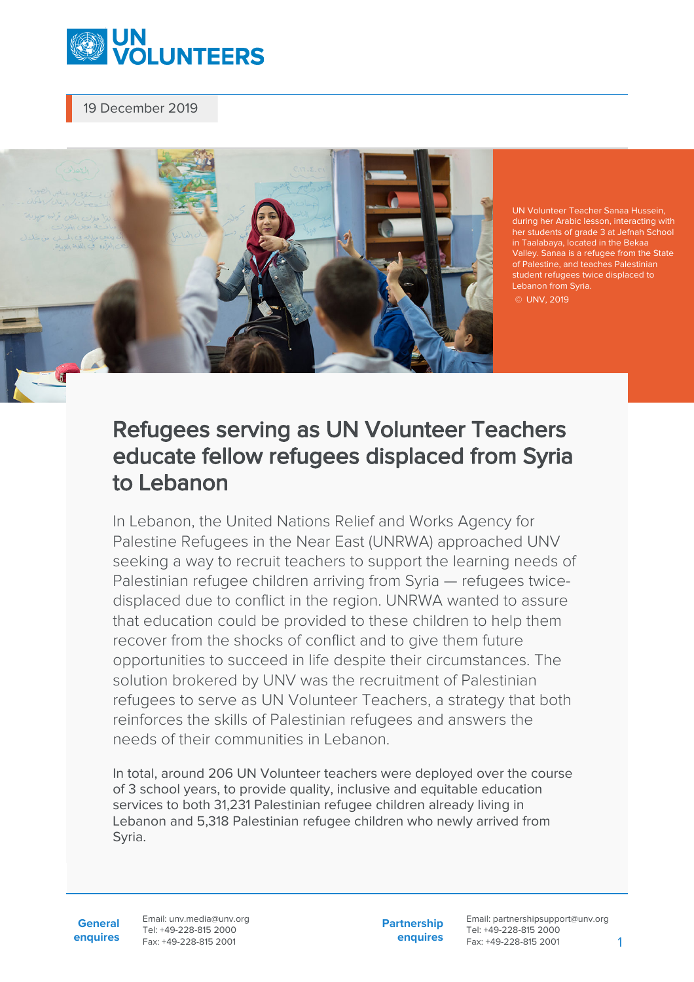

### 19 December 2019



UN Volunteer Teacher Sanaa Hussein, during her Arabic lesson, interacting with her students of grade 3 at Jefnah Schoo<br>in Taalabaya, located in the Bekaa<br>Valley. Sanaa is a refugee from the State student refugees twice displaced to Lebanon from Syria. © UNV, 2019

# Refugees serving as UN Volunteer Teachers educate fellow refugees displaced from Syria to Lebanon

In Lebanon, the United Nations Relief and Works Agency for Palestine Refugees in the Near East (UNRWA) approached UNV seeking a way to recruit teachers to support the learning needs of Palestinian refugee children arriving from Syria — refugees twicedisplaced due to conflict in the region. UNRWA wanted to assure that education could be provided to these children to help them recover from the shocks of conflict and to give them future opportunities to succeed in life despite their circumstances. The solution brokered by UNV was the recruitment of Palestinian refugees to serve as UN Volunteer Teachers, a strategy that both reinforces the skills of Palestinian refugees and answers the needs of their communities in Lebanon.

In total, around 206 UN Volunteer teachers were deployed over the course of 3 school years, to provide quality, inclusive and equitable education services to both 31,231 Palestinian refugee children already living in Lebanon and 5,318 Palestinian refugee children who newly arrived from Syria.

**General enquires** Email: unv.media@unv.org Tel: +49-228-815 2000 Fax: +49-228-815 2001

**Partnership enquires** Email: partnershipsupport@unv.org Tel: +49-228-815 2000 Fax: +49-228-815 2001 1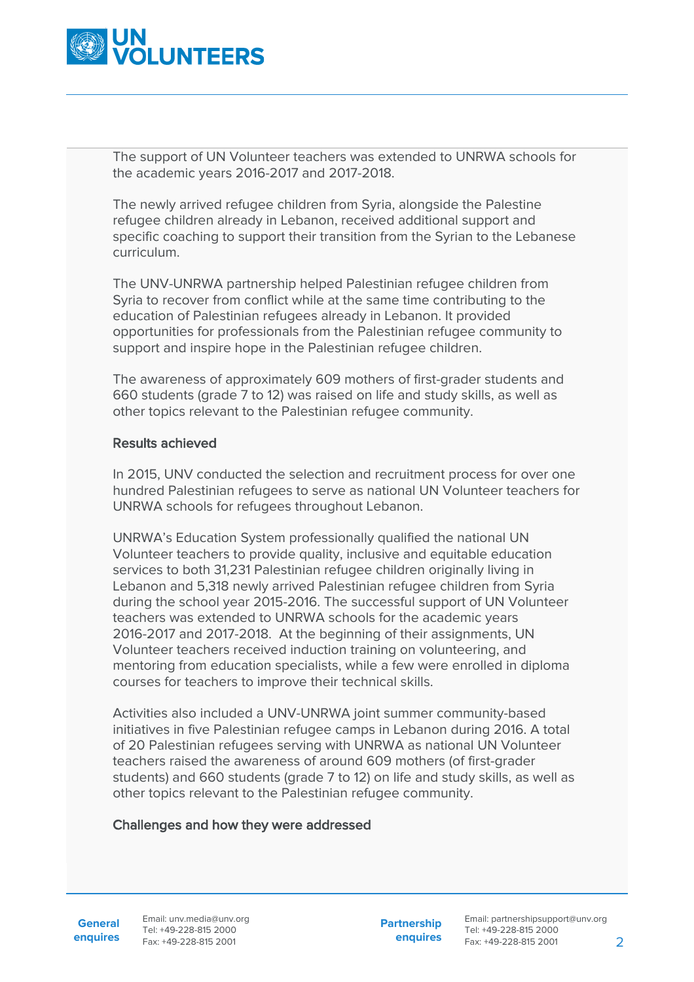

The support of UN Volunteer teachers was extended to UNRWA schools for the academic years 2016-2017 and 2017-2018.

The newly arrived refugee children from Syria, alongside the Palestine refugee children already in Lebanon, received additional support and specific coaching to support their transition from the Syrian to the Lebanese curriculum.

The UNV-UNRWA partnership helped Palestinian refugee children from Syria to recover from conflict while at the same time contributing to the education of Palestinian refugees already in Lebanon. It provided opportunities for professionals from the Palestinian refugee community to support and inspire hope in the Palestinian refugee children.

The awareness of approximately 609 mothers of first-grader students and 660 students (grade 7 to 12) was raised on life and study skills, as well as other topics relevant to the Palestinian refugee community.

#### Results achieved

In 2015, UNV conducted the selection and recruitment process for over one hundred Palestinian refugees to serve as national UN Volunteer teachers for UNRWA schools for refugees throughout Lebanon.

UNRWA's Education System professionally qualified the national UN Volunteer teachers to provide quality, inclusive and equitable education services to both 31,231 Palestinian refugee children originally living in Lebanon and 5,318 newly arrived Palestinian refugee children from Syria during the school year 2015-2016. The successful support of UN Volunteer teachers was extended to UNRWA schools for the academic years 2016-2017 and 2017-2018. At the beginning of their assignments, UN Volunteer teachers received induction training on volunteering, and mentoring from education specialists, while a few were enrolled in diploma courses for teachers to improve their technical skills.

Activities also included a UNV-UNRWA joint summer community-based initiatives in five Palestinian refugee camps in Lebanon during 2016. A total of 20 Palestinian refugees serving with UNRWA as national UN Volunteer teachers raised the awareness of around 609 mothers (of first-grader students) and 660 students (grade 7 to 12) on life and study skills, as well as other topics relevant to the Palestinian refugee community.

#### Challenges and how they were addressed

**General**

**enquires** Fax: +49-228-815 2001 Email: unv.media@unv.org Tel: +49-228-815 2000

**Partnership enquires** Email: partnershipsupport@unv.org Tel: +49-228-815 2000 Fax: +49-228-815 2001 2